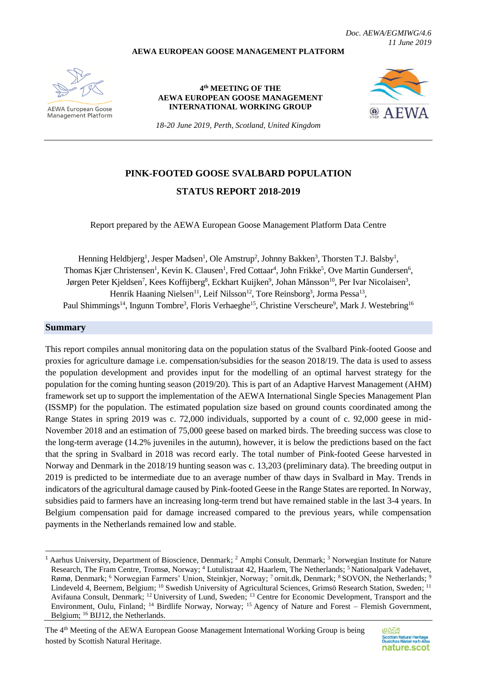#### **AEWA EUROPEAN GOOSE MANAGEMENT PLATFORM**

*Doc. AEWA/EGMIWG/4.6 11 June 2019*



AFWA European Goose Management Platform

**4 th MEETING OF THE AEWA EUROPEAN GOOSE MANAGEMENT INTERNATIONAL WORKING GROUP**



*18-20 June 2019, Perth, Scotland, United Kingdom*

# **PINK-FOOTED GOOSE SVALBARD POPULATION STATUS REPORT 2018-2019**

Report prepared by the AEWA European Goose Management Platform Data Centre

Henning Heldbjerg<sup>1</sup>, Jesper Madsen<sup>1</sup>, Ole Amstrup<sup>2</sup>, Johnny Bakken<sup>3</sup>, Thorsten T.J. Balsby<sup>1</sup>, Thomas Kjær Christensen<sup>1</sup>, Kevin K. Clausen<sup>1</sup>, Fred Cottaar<sup>4</sup>, John Frikke<sup>5</sup>, Ove Martin Gundersen<sup>6</sup>, Jørgen Peter Kjeldsen<sup>7</sup>, Kees Koffijberg<sup>8</sup>, Eckhart Kuijken<sup>9</sup>, Johan Månsson<sup>10</sup>, Per Ivar Nicolaisen<sup>3</sup>, Henrik Haaning Nielsen<sup>11</sup>, Leif Nilsson<sup>12</sup>, Tore Reinsborg<sup>3</sup>, Jorma Pessa<sup>13</sup>, Paul Shimmings<sup>14</sup>, Ingunn Tombre<sup>3</sup>, Floris Verhaeghe<sup>15</sup>, Christine Verscheure<sup>9</sup>, Mark J. Westebring<sup>16</sup>

#### **Summary**

1

This report compiles annual monitoring data on the population status of the Svalbard Pink-footed Goose and proxies for agriculture damage i.e. compensation/subsidies for the season 2018/19. The data is used to assess the population development and provides input for the modelling of an optimal harvest strategy for the population for the coming hunting season (2019/20). This is part of an Adaptive Harvest Management (AHM) framework set up to support the implementation of the AEWA International Single Species Management Plan (ISSMP) for the population. The estimated population size based on ground counts coordinated among the Range States in spring 2019 was c. 72,000 individuals, supported by a count of c. 92,000 geese in mid-November 2018 and an estimation of 75,000 geese based on marked birds. The breeding success was close to the long-term average (14.2% juveniles in the autumn), however, it is below the predictions based on the fact that the spring in Svalbard in 2018 was record early. The total number of Pink-footed Geese harvested in Norway and Denmark in the 2018/19 hunting season was c. 13,203 (preliminary data). The breeding output in 2019 is predicted to be intermediate due to an average number of thaw days in Svalbard in May. Trends in indicators of the agricultural damage caused by Pink-footed Geese in the Range States are reported. In Norway, subsidies paid to farmers have an increasing long-term trend but have remained stable in the last 3-4 years. In Belgium compensation paid for damage increased compared to the previous years, while compensation payments in the Netherlands remained low and stable.

<sup>&</sup>lt;sup>1</sup> Aarhus University, Department of Bioscience, Denmark; <sup>2</sup> Amphi Consult, Denmark; <sup>3</sup> Norwegian Institute for Nature Research, The Fram Centre, Tromsø, Norway; <sup>4</sup> Lutulistraat 42, Haarlem, The Netherlands; <sup>5</sup>Nationalpark Vadehavet. Rømø, Denmark; <sup>6</sup> Norwegian Farmers' Union, Steinkjer, Norway; 7 ornit.dk, Denmark; <sup>8</sup> SOVON, the Netherlands; <sup>9</sup> Lindeveld 4, Beernem, Belgium; <sup>10</sup> Swedish University of Agricultural Sciences, Grimsö Research Station, Sweden; <sup>11</sup> Avifauna Consult, Denmark; <sup>12</sup> University of Lund, Sweden; <sup>13</sup> Centre for Economic Development, Transport and the Environment, Oulu, Finland; <sup>14</sup> Birdlife Norway, Norway; <sup>15</sup> Agency of Nature and Forest – Flemish Government, Belgium; <sup>16</sup> BIJ12, the Netherlands.

The 4<sup>th</sup> Meeting of the AEWA European Goose Management International Working Group is being hosted by Scottish Natural Heritage.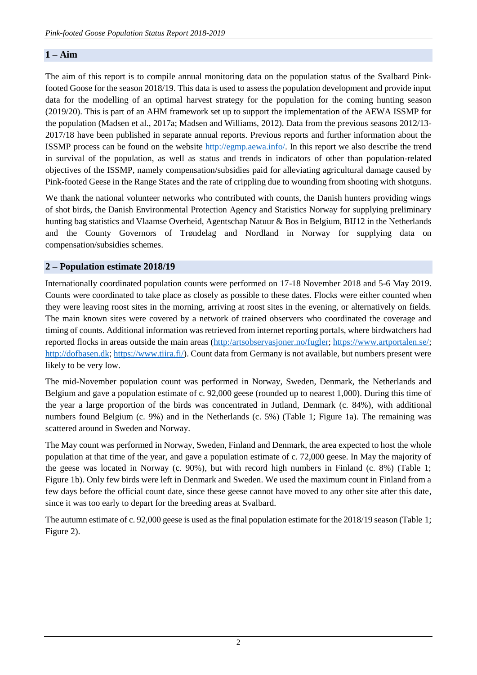### **1 – Aim**

The aim of this report is to compile annual monitoring data on the population status of the Svalbard Pinkfooted Goose for the season 2018/19. This data is used to assess the population development and provide input data for the modelling of an optimal harvest strategy for the population for the coming hunting season (2019/20). This is part of an AHM framework set up to support the implementation of the AEWA ISSMP for the population (Madsen et al., 2017a; Madsen and Williams, 2012). Data from the previous seasons 2012/13- 2017/18 have been published in separate annual reports. Previous reports and further information about the ISSMP process can be found on the website [http://egmp.aewa.info/.](http://egmp.aewa.info/) In this report we also describe the trend in survival of the population, as well as status and trends in indicators of other than population-related objectives of the ISSMP, namely compensation/subsidies paid for alleviating agricultural damage caused by Pink-footed Geese in the Range States and the rate of crippling due to wounding from shooting with shotguns.

We thank the national volunteer networks who contributed with counts, the Danish hunters providing wings of shot birds, the Danish Environmental Protection Agency and Statistics Norway for supplying preliminary hunting bag statistics and Vlaamse Overheid, Agentschap Natuur & Bos in Belgium, BIJ12 in the Netherlands and the County Governors of Trøndelag and Nordland in Norway for supplying data on compensation/subsidies schemes.

### **2 – Population estimate 2018/19**

Internationally coordinated population counts were performed on 17-18 November 2018 and 5-6 May 2019. Counts were coordinated to take place as closely as possible to these dates. Flocks were either counted when they were leaving roost sites in the morning, arriving at roost sites in the evening, or alternatively on fields. The main known sites were covered by a network of trained observers who coordinated the coverage and timing of counts. Additional information was retrieved from internet reporting portals, where birdwatchers had reported flocks in areas outside the main areas [\(http:/artsobservasjoner.no/fugler;](http://artsobservasjoner.no/fugler) [https://www.artportalen.se/;](https://www.artportalen.se/) [http://dofbasen.dk;](http://dofbasen.dk/) [https://www.tiira.fi/\)](https://www.tiira.fi/). Count data from Germany is not available, but numbers present were likely to be very low.

The mid-November population count was performed in Norway, Sweden, Denmark, the Netherlands and Belgium and gave a population estimate of c. 92,000 geese (rounded up to nearest 1,000). During this time of the year a large proportion of the birds was concentrated in Jutland, Denmark (c. 84%), with additional numbers found Belgium (c. 9%) and in the Netherlands (c. 5%) (Table 1; Figure 1a). The remaining was scattered around in Sweden and Norway.

The May count was performed in Norway, Sweden, Finland and Denmark, the area expected to host the whole population at that time of the year, and gave a population estimate of c. 72,000 geese. In May the majority of the geese was located in Norway (c. 90%), but with record high numbers in Finland (c. 8%) (Table 1; Figure 1b). Only few birds were left in Denmark and Sweden. We used the maximum count in Finland from a few days before the official count date, since these geese cannot have moved to any other site after this date, since it was too early to depart for the breeding areas at Svalbard.

The autumn estimate of c. 92,000 geese is used as the final population estimate for the 2018/19 season (Table 1; Figure 2).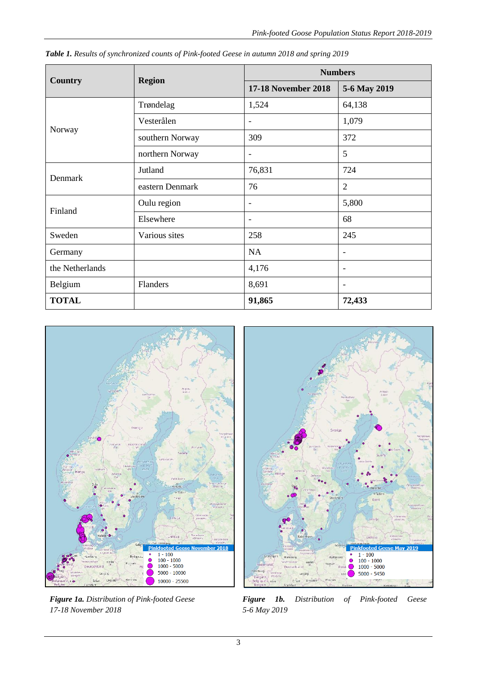|                 | <b>Region</b>   | <b>Numbers</b>             |                          |  |  |  |
|-----------------|-----------------|----------------------------|--------------------------|--|--|--|
| <b>Country</b>  |                 | <b>17-18 November 2018</b> | 5-6 May 2019             |  |  |  |
|                 | Trøndelag       | 1,524                      | 64,138                   |  |  |  |
|                 | Vesterålen      |                            | 1,079                    |  |  |  |
| Norway          | southern Norway | 309                        | 372                      |  |  |  |
|                 | northern Norway | $\overline{\phantom{a}}$   | 5                        |  |  |  |
|                 | Jutland         | 76,831                     | 724                      |  |  |  |
| Denmark         | eastern Denmark | 76                         | $\overline{2}$           |  |  |  |
| Finland         | Oulu region     | $\overline{\phantom{a}}$   | 5,800                    |  |  |  |
|                 | Elsewhere       | $\overline{\phantom{a}}$   | 68                       |  |  |  |
| Sweden          | Various sites   | 258                        | 245                      |  |  |  |
| Germany         |                 | <b>NA</b>                  | ٠                        |  |  |  |
| the Netherlands |                 | 4,176                      | $\overline{\phantom{a}}$ |  |  |  |
| Belgium         | Flanders        | 8,691                      |                          |  |  |  |
| <b>TOTAL</b>    |                 | 91,865                     | 72,433                   |  |  |  |

*Table 1. Results of synchronized counts of Pink-footed Geese in autumn 2018 and spring 2019*



*Figure 1a. Distribution of Pink-footed Geese 17-18 November 2018*



*Figure 1b. Distribution of Pink-footed Geese 5-6 May 2019*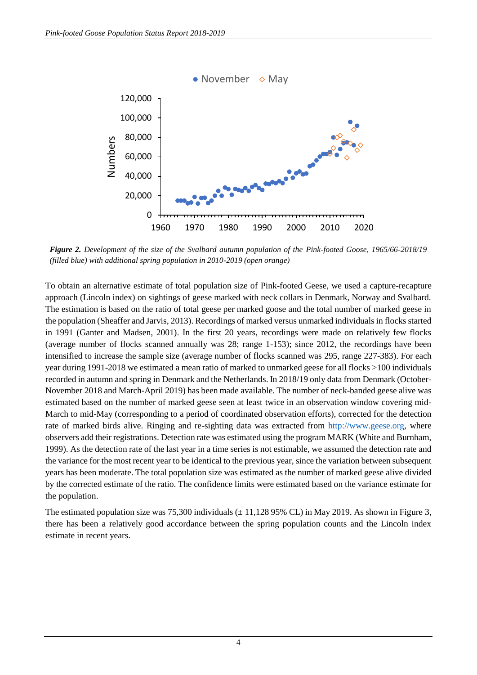

*Figure 2. Development of the size of the Svalbard autumn population of the Pink-footed Goose, 1965/66-2018/19 (filled blue) with additional spring population in 2010-2019 (open orange)*

To obtain an alternative estimate of total population size of Pink-footed Geese, we used a capture-recapture approach (Lincoln index) on sightings of geese marked with neck collars in Denmark, Norway and Svalbard. The estimation is based on the ratio of total geese per marked goose and the total number of marked geese in the population (Sheaffer and Jarvis, 2013). Recordings of marked versus unmarked individuals in flocks started in 1991 (Ganter and Madsen, 2001). In the first 20 years, recordings were made on relatively few flocks (average number of flocks scanned annually was 28; range 1-153); since 2012, the recordings have been intensified to increase the sample size (average number of flocks scanned was 295, range 227-383). For each year during 1991-2018 we estimated a mean ratio of marked to unmarked geese for all flocks >100 individuals recorded in autumn and spring in Denmark and the Netherlands. In 2018/19 only data from Denmark (October-November 2018 and March-April 2019) has been made available. The number of neck-banded geese alive was estimated based on the number of marked geese seen at least twice in an observation window covering mid-March to mid-May (corresponding to a period of coordinated observation efforts), corrected for the detection rate of marked birds alive. Ringing and re-sighting data was extracted from [http://www.geese.org,](http://www.geese.org/) where observers add their registrations. Detection rate was estimated using the program MARK (White and Burnham, 1999). As the detection rate of the last year in a time series is not estimable, we assumed the detection rate and the variance for the most recent year to be identical to the previous year, since the variation between subsequent years has been moderate. The total population size was estimated as the number of marked geese alive divided by the corrected estimate of the ratio. The confidence limits were estimated based on the variance estimate for the population.

The estimated population size was  $75,300$  individuals  $(\pm 11,12895\%$  CL) in May 2019. As shown in Figure 3, there has been a relatively good accordance between the spring population counts and the Lincoln index estimate in recent years.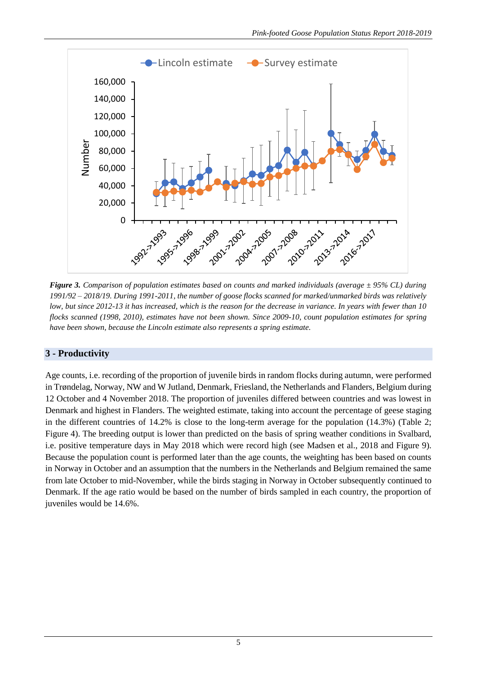

*Figure 3. Comparison of population estimates based on counts and marked individuals (average ± 95% CL) during 1991/92 – 2018/19. During 1991-2011, the number of goose flocks scanned for marked/unmarked birds was relatively low, but since 2012-13 it has increased, which is the reason for the decrease in variance. In years with fewer than 10 flocks scanned (1998, 2010), estimates have not been shown. Since 2009-10, count population estimates for spring have been shown, because the Lincoln estimate also represents a spring estimate.*

# **3 - Productivity**

Age counts, i.e. recording of the proportion of juvenile birds in random flocks during autumn, were performed in Trøndelag, Norway, NW and W Jutland, Denmark, Friesland, the Netherlands and Flanders, Belgium during 12 October and 4 November 2018. The proportion of juveniles differed between countries and was lowest in Denmark and highest in Flanders. The weighted estimate, taking into account the percentage of geese staging in the different countries of 14.2% is close to the long-term average for the population (14.3%) (Table 2; Figure 4). The breeding output is lower than predicted on the basis of spring weather conditions in Svalbard, i.e. positive temperature days in May 2018 which were record high (see Madsen et al., 2018 and Figure 9). Because the population count is performed later than the age counts, the weighting has been based on counts in Norway in October and an assumption that the numbers in the Netherlands and Belgium remained the same from late October to mid-November, while the birds staging in Norway in October subsequently continued to Denmark. If the age ratio would be based on the number of birds sampled in each country, the proportion of juveniles would be 14.6%.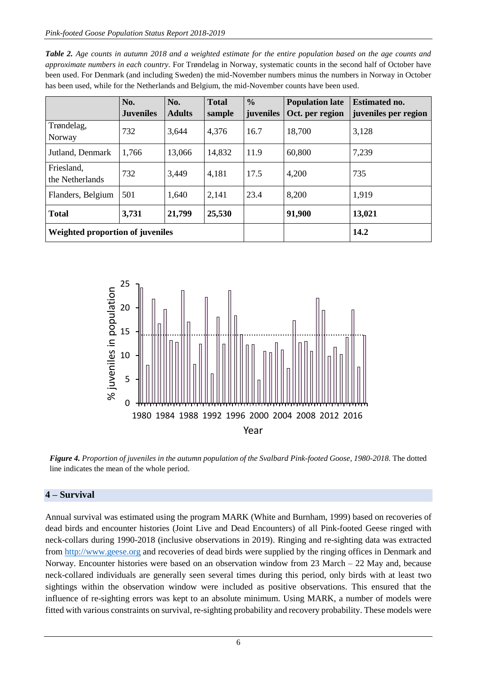| <b>Table 2.</b> Age counts in autumn 2018 and a weighted estimate for the entire population based on the age counts and |
|-------------------------------------------------------------------------------------------------------------------------|
| approximate numbers in each country. For Trøndelag in Norway, systematic counts in the second half of October have      |
| been used. For Denmark (and including Sweden) the mid-November numbers minus the numbers in Norway in October           |
| has been used, while for the Netherlands and Belgium, the mid-November counts have been used.                           |

|                                  | No.              | No.           | <b>Total</b> | $\frac{0}{0}$ | <b>Population late</b> | <b>Estimated no.</b> |  |
|----------------------------------|------------------|---------------|--------------|---------------|------------------------|----------------------|--|
|                                  | <b>Juveniles</b> | <b>Adults</b> | sample       | juveniles     | Oct. per region        | juveniles per region |  |
| Trøndelag,<br>Norway             | 732              | 3,644         | 4,376        | 16.7          | 18,700                 | 3,128                |  |
| Jutland, Denmark                 | 1,766            | 13,066        | 14,832       | 11.9          | 60,800                 | 7,239                |  |
| Friesland,<br>the Netherlands    | 732              | 3,449         | 4,181        | 17.5          | 4,200                  | 735                  |  |
| Flanders, Belgium                | 501              | 1,640         | 2,141        | 23.4          | 8,200                  | 1,919                |  |
| <b>Total</b>                     | 3,731            | 21,799        | 25,530       |               | 91,900                 | 13,021               |  |
| Weighted proportion of juveniles |                  |               |              | 14.2          |                        |                      |  |



*Figure 4. Proportion of juveniles in the autumn population of the Svalbard Pink-footed Goose, 1980-2018.* The dotted line indicates the mean of the whole period.

## **4 – Survival**

Annual survival was estimated using the program MARK (White and Burnham, 1999) based on recoveries of dead birds and encounter histories (Joint Live and Dead Encounters) of all Pink-footed Geese ringed with neck-collars during 1990-2018 (inclusive observations in 2019). Ringing and re-sighting data was extracted from [http://www.geese.org](http://www.geese.org/) and recoveries of dead birds were supplied by the ringing offices in Denmark and Norway. Encounter histories were based on an observation window from 23 March – 22 May and, because neck-collared individuals are generally seen several times during this period, only birds with at least two sightings within the observation window were included as positive observations. This ensured that the influence of re-sighting errors was kept to an absolute minimum. Using MARK, a number of models were fitted with various constraints on survival, re-sighting probability and recovery probability. These models were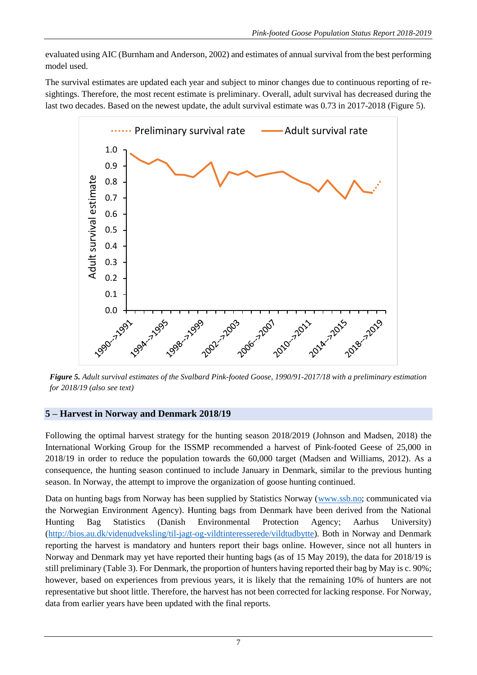evaluated using AIC (Burnham and Anderson, 2002) and estimates of annual survival from the best performing model used.

The survival estimates are updated each year and subject to minor changes due to continuous reporting of resightings. Therefore, the most recent estimate is preliminary. Overall, adult survival has decreased during the last two decades. Based on the newest update, the adult survival estimate was 0.73 in 2017-2018 (Figure 5).



*Figure 5. Adult survival estimates of the Svalbard Pink-footed Goose, 1990/91-2017/18 with a preliminary estimation for 2018/19 (also see text)*

## **5 – Harvest in Norway and Denmark 2018/19**

Following the optimal harvest strategy for the hunting season 2018/2019 (Johnson and Madsen, 2018) the International Working Group for the ISSMP recommended a harvest of Pink-footed Geese of 25,000 in 2018/19 in order to reduce the population towards the 60,000 target (Madsen and Williams, 2012). As a consequence, the hunting season continued to include January in Denmark, similar to the previous hunting season. In Norway, the attempt to improve the organization of goose hunting continued.

Data on hunting bags from Norway has been supplied by Statistics Norway [\(www.ssb.no;](http://www.ssb.no/) communicated via the Norwegian Environment Agency). Hunting bags from Denmark have been derived from the National Hunting Bag Statistics (Danish Environmental Protection Agency; Aarhus University) [\(http://bios.au.dk/videnudveksling/til-jagt-og-vildtinteresserede/vildtudbytte\)](http://bios.au.dk/videnudveksling/til-jagt-og-vildtinteresserede/vildtudbytte). Both in Norway and Denmark reporting the harvest is mandatory and hunters report their bags online. However, since not all hunters in Norway and Denmark may yet have reported their hunting bags (as of 15 May 2019), the data for 2018/19 is still preliminary (Table 3). For Denmark, the proportion of hunters having reported their bag by May is c. 90%; however, based on experiences from previous years, it is likely that the remaining 10% of hunters are not representative but shoot little. Therefore, the harvest has not been corrected for lacking response. For Norway, data from earlier years have been updated with the final reports.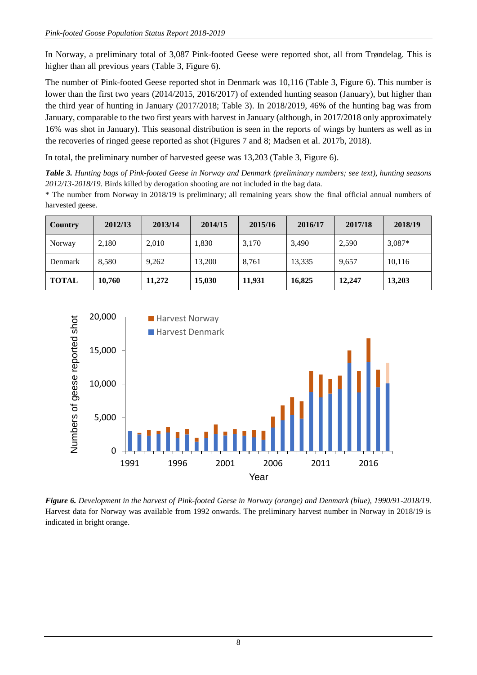In Norway, a preliminary total of 3,087 Pink-footed Geese were reported shot, all from Trøndelag. This is higher than all previous years (Table 3, Figure 6).

The number of Pink-footed Geese reported shot in Denmark was 10,116 (Table 3, Figure 6). This number is lower than the first two years (2014/2015, 2016/2017) of extended hunting season (January), but higher than the third year of hunting in January (2017/2018; Table 3). In 2018/2019, 46% of the hunting bag was from January, comparable to the two first years with harvest in January (although, in 2017/2018 only approximately 16% was shot in January). This seasonal distribution is seen in the reports of wings by hunters as well as in the recoveries of ringed geese reported as shot (Figures 7 and 8; Madsen et al. 2017b, 2018).

In total, the preliminary number of harvested geese was 13,203 (Table 3, Figure 6).

*Table 3. Hunting bags of Pink-footed Geese in Norway and Denmark (preliminary numbers; see text), hunting seasons 2012/13-2018/19.* Birds killed by derogation shooting are not included in the bag data.

\* The number from Norway in 2018/19 is preliminary; all remaining years show the final official annual numbers of harvested geese.

| <b>Country</b> | 2012/13 | 2013/14 | 2014/15 | 2015/16 | 2016/17 | 2017/18 | 2018/19  |
|----------------|---------|---------|---------|---------|---------|---------|----------|
| Norway         | 2,180   | 2,010   | 1,830   | 3,170   | 3,490   | 2,590   | $3,087*$ |
| Denmark        | 8,580   | 9,262   | 13,200  | 8,761   | 13,335  | 9,657   | 10,116   |
| <b>TOTAL</b>   | 10,760  | 11.272  | 15,030  | 11,931  | 16,825  | 12,247  | 13,203   |



*Figure 6. Development in the harvest of Pink-footed Geese in Norway (orange) and Denmark (blue), 1990/91-2018/19.*  Harvest data for Norway was available from 1992 onwards. The preliminary harvest number in Norway in 2018/19 is indicated in bright orange.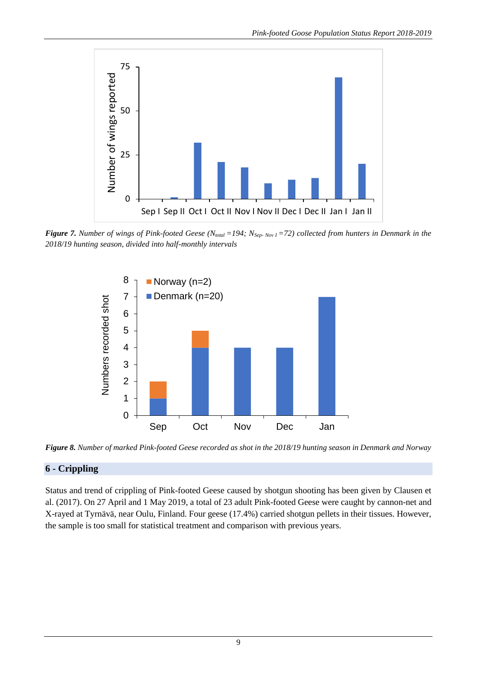

*Figure 7. Number of wings of Pink-footed Geese (Ntotal =194; NSep- Nov I =72) collected from hunters in Denmark in the 2018/19 hunting season, divided into half-monthly intervals*



*Figure 8. Number of marked Pink-footed Geese recorded as shot in the 2018/19 hunting season in Denmark and Norway*

# **6 - Crippling**

Status and trend of crippling of Pink-footed Geese caused by shotgun shooting has been given by Clausen et al. (2017). On 27 April and 1 May 2019, a total of 23 adult Pink-footed Geese were caught by cannon-net and X-rayed at Tyrnävä, near Oulu, Finland. Four geese (17.4%) carried shotgun pellets in their tissues. However, the sample is too small for statistical treatment and comparison with previous years.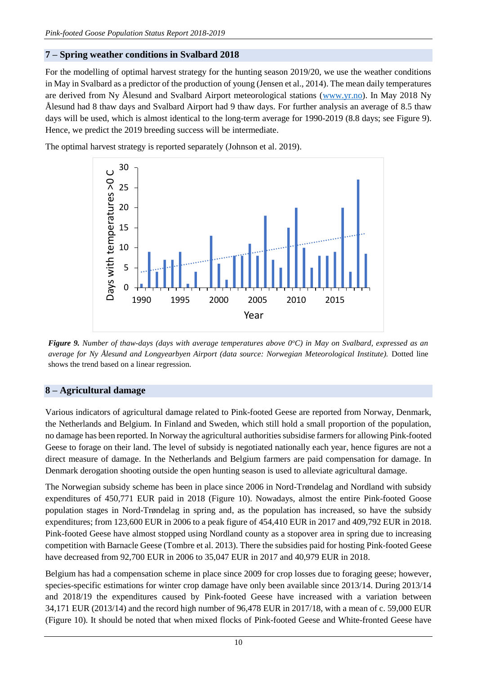### **7 – Spring weather conditions in Svalbard 2018**

For the modelling of optimal harvest strategy for the hunting season 2019/20, we use the weather conditions in May in Svalbard as a predictor of the production of young (Jensen et al., 2014). The mean daily temperatures are derived from Ny Ålesund and Svalbard Airport meteorological stations [\(www.yr.no\)](file:///C:/Users/eva.meyers/AppData/Local/Microsoft/Windows/INetCache/Content.Outlook/0VM717GY/www.yr.no). In May 2018 Ny Ålesund had 8 thaw days and Svalbard Airport had 9 thaw days. For further analysis an average of 8.5 thaw days will be used, which is almost identical to the long-term average for 1990-2019 (8.8 days; see Figure 9). Hence, we predict the 2019 breeding success will be intermediate.

The optimal harvest strategy is reported separately (Johnson et al. 2019).



*Figure 9. Number of thaw-days (days with average temperatures above 0<sup>o</sup>C) in May on Svalbard, expressed as an average for Ny Ålesund and Longyearbyen Airport (data source: Norwegian Meteorological Institute).* Dotted line shows the trend based on a linear regression.

## **8 – Agricultural damage**

Various indicators of agricultural damage related to Pink-footed Geese are reported from Norway, Denmark, the Netherlands and Belgium. In Finland and Sweden, which still hold a small proportion of the population, no damage has been reported. In Norway the agricultural authorities subsidise farmers for allowing Pink-footed Geese to forage on their land. The level of subsidy is negotiated nationally each year, hence figures are not a direct measure of damage. In the Netherlands and Belgium farmers are paid compensation for damage. In Denmark derogation shooting outside the open hunting season is used to alleviate agricultural damage.

The Norwegian subsidy scheme has been in place since 2006 in Nord-Trøndelag and Nordland with subsidy expenditures of 450,771 EUR paid in 2018 (Figure 10). Nowadays, almost the entire Pink-footed Goose population stages in Nord-Trøndelag in spring and, as the population has increased, so have the subsidy expenditures; from 123,600 EUR in 2006 to a peak figure of 454,410 EUR in 2017 and 409,792 EUR in 2018. Pink-footed Geese have almost stopped using Nordland county as a stopover area in spring due to increasing competition with Barnacle Geese (Tombre et al. 2013). There the subsidies paid for hosting Pink-footed Geese have decreased from 92,700 EUR in 2006 to 35,047 EUR in 2017 and 40,979 EUR in 2018.

Belgium has had a compensation scheme in place since 2009 for crop losses due to foraging geese; however, species-specific estimations for winter crop damage have only been available since 2013/14. During 2013/14 and 2018/19 the expenditures caused by Pink-footed Geese have increased with a variation between 34,171 EUR (2013/14) and the record high number of 96,478 EUR in 2017/18, with a mean of c. 59,000 EUR (Figure 10). It should be noted that when mixed flocks of Pink-footed Geese and White-fronted Geese have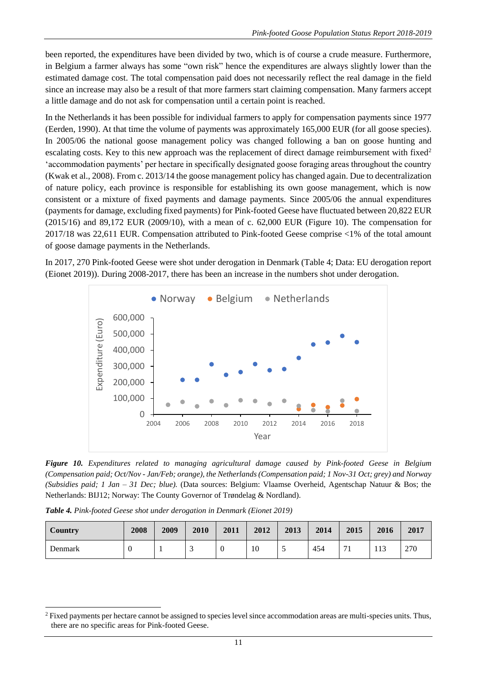been reported, the expenditures have been divided by two, which is of course a crude measure. Furthermore, in Belgium a farmer always has some "own risk" hence the expenditures are always slightly lower than the estimated damage cost. The total compensation paid does not necessarily reflect the real damage in the field since an increase may also be a result of that more farmers start claiming compensation. Many farmers accept a little damage and do not ask for compensation until a certain point is reached.

In the Netherlands it has been possible for individual farmers to apply for compensation payments since 1977 (Eerden, 1990). At that time the volume of payments was approximately 165,000 EUR (for all goose species). In 2005/06 the national goose management policy was changed following a ban on goose hunting and escalating costs. Key to this new approach was the replacement of direct damage reimbursement with fixed<sup>2</sup> 'accommodation payments' per hectare in specifically designated goose foraging areas throughout the country (Kwak et al., 2008). From c. 2013/14 the goose management policy has changed again. Due to decentralization of nature policy, each province is responsible for establishing its own goose management, which is now consistent or a mixture of fixed payments and damage payments. Since 2005/06 the annual expenditures (payments for damage, excluding fixed payments) for Pink-footed Geese have fluctuated between 20,822 EUR (2015/16) and 89,172 EUR (2009/10), with a mean of c. 62,000 EUR (Figure 10). The compensation for 2017/18 was 22,611 EUR. Compensation attributed to Pink-footed Geese comprise <1% of the total amount of goose damage payments in the Netherlands.

In 2017, 270 Pink-footed Geese were shot under derogation in Denmark (Table 4; Data: EU derogation report (Eionet 2019)). During 2008-2017, there has been an increase in the numbers shot under derogation.



*Figure 10. Expenditures related to managing agricultural damage caused by Pink-footed Geese in Belgium (Compensation paid; Oct/Nov - Jan/Feb; orange), the Netherlands (Compensation paid; 1 Nov-31 Oct; grey) and Norway (Subsidies paid; 1 Jan – 31 Dec; blue).* (Data sources: Belgium: Vlaamse Overheid, Agentschap Natuur & Bos; the Netherlands: BIJ12; Norway: The County Governor of Trøndelag & Nordland).

*Table 4. Pink-footed Geese shot under derogation in Denmark (Eionet 2019)*

1

| Country        | 2008 | 2009 | 2010 | 2011     | 2012 | 2013 | 2014 | 2015 | 2016 | 2017 |
|----------------|------|------|------|----------|------|------|------|------|------|------|
| <b>Denmark</b> | U    |      | -    | $\theta$ | 10   | ◡    | 454  | 71   | 113  | 270  |

<sup>2</sup> Fixed payments per hectare cannot be assigned to species level since accommodation areas are multi-species units. Thus, there are no specific areas for Pink-footed Geese.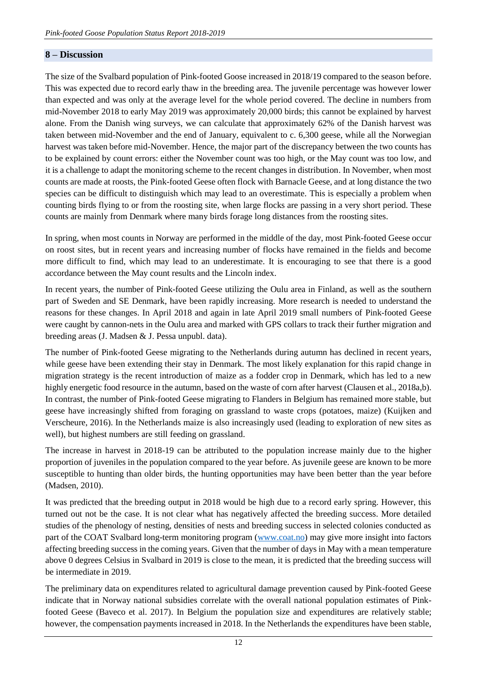#### **8 – Discussion**

The size of the Svalbard population of Pink-footed Goose increased in 2018/19 compared to the season before. This was expected due to record early thaw in the breeding area. The juvenile percentage was however lower than expected and was only at the average level for the whole period covered. The decline in numbers from mid-November 2018 to early May 2019 was approximately 20,000 birds; this cannot be explained by harvest alone. From the Danish wing surveys, we can calculate that approximately 62% of the Danish harvest was taken between mid-November and the end of January, equivalent to c. 6,300 geese, while all the Norwegian harvest was taken before mid-November. Hence, the major part of the discrepancy between the two counts has to be explained by count errors: either the November count was too high, or the May count was too low, and it is a challenge to adapt the monitoring scheme to the recent changes in distribution. In November, when most counts are made at roosts, the Pink-footed Geese often flock with Barnacle Geese, and at long distance the two species can be difficult to distinguish which may lead to an overestimate. This is especially a problem when counting birds flying to or from the roosting site, when large flocks are passing in a very short period. These counts are mainly from Denmark where many birds forage long distances from the roosting sites.

In spring, when most counts in Norway are performed in the middle of the day, most Pink-footed Geese occur on roost sites, but in recent years and increasing number of flocks have remained in the fields and become more difficult to find, which may lead to an underestimate. It is encouraging to see that there is a good accordance between the May count results and the Lincoln index.

In recent years, the number of Pink-footed Geese utilizing the Oulu area in Finland, as well as the southern part of Sweden and SE Denmark, have been rapidly increasing. More research is needed to understand the reasons for these changes. In April 2018 and again in late April 2019 small numbers of Pink-footed Geese were caught by cannon-nets in the Oulu area and marked with GPS collars to track their further migration and breeding areas (J. Madsen & J. Pessa unpubl. data).

The number of Pink-footed Geese migrating to the Netherlands during autumn has declined in recent years, while geese have been extending their stay in Denmark. The most likely explanation for this rapid change in migration strategy is the recent introduction of maize as a fodder crop in Denmark, which has led to a new highly energetic food resource in the autumn, based on the waste of corn after harvest (Clausen et al., 2018a,b). In contrast, the number of Pink-footed Geese migrating to Flanders in Belgium has remained more stable, but geese have increasingly shifted from foraging on grassland to waste crops (potatoes, maize) (Kuijken and Verscheure, 2016). In the Netherlands maize is also increasingly used (leading to exploration of new sites as well), but highest numbers are still feeding on grassland.

The increase in harvest in 2018-19 can be attributed to the population increase mainly due to the higher proportion of juveniles in the population compared to the year before. As juvenile geese are known to be more susceptible to hunting than older birds, the hunting opportunities may have been better than the year before (Madsen, 2010).

It was predicted that the breeding output in 2018 would be high due to a record early spring. However, this turned out not be the case. It is not clear what has negatively affected the breeding success. More detailed studies of the phenology of nesting, densities of nests and breeding success in selected colonies conducted as part of the COAT Svalbard long-term monitoring program [\(www.coat.no\)](http://www.coat.no/) may give more insight into factors affecting breeding success in the coming years. Given that the number of days in May with a mean temperature above 0 degrees Celsius in Svalbard in 2019 is close to the mean, it is predicted that the breeding success will be intermediate in 2019.

The preliminary data on expenditures related to agricultural damage prevention caused by Pink-footed Geese indicate that in Norway national subsidies correlate with the overall national population estimates of Pinkfooted Geese (Baveco et al. 2017). In Belgium the population size and expenditures are relatively stable; however, the compensation payments increased in 2018. In the Netherlands the expenditures have been stable,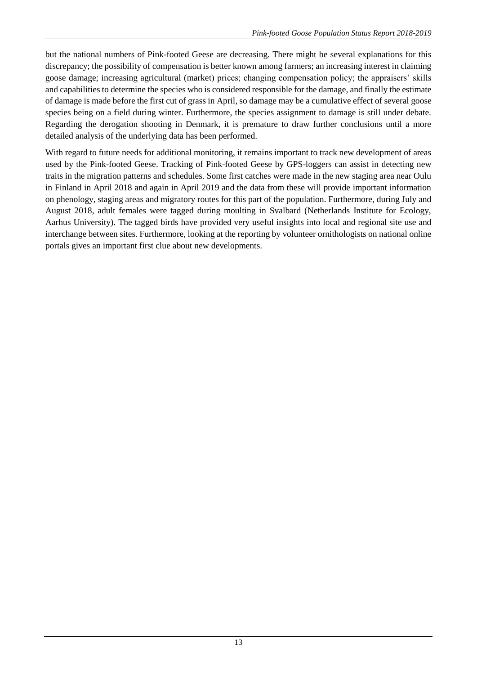but the national numbers of Pink-footed Geese are decreasing. There might be several explanations for this discrepancy; the possibility of compensation is better known among farmers; an increasing interest in claiming goose damage; increasing agricultural (market) prices; changing compensation policy; the appraisers' skills and capabilities to determine the species who is considered responsible for the damage, and finally the estimate of damage is made before the first cut of grass in April, so damage may be a cumulative effect of several goose species being on a field during winter. Furthermore, the species assignment to damage is still under debate. Regarding the derogation shooting in Denmark, it is premature to draw further conclusions until a more detailed analysis of the underlying data has been performed.

With regard to future needs for additional monitoring, it remains important to track new development of areas used by the Pink-footed Geese. Tracking of Pink-footed Geese by GPS-loggers can assist in detecting new traits in the migration patterns and schedules. Some first catches were made in the new staging area near Oulu in Finland in April 2018 and again in April 2019 and the data from these will provide important information on phenology, staging areas and migratory routes for this part of the population. Furthermore, during July and August 2018, adult females were tagged during moulting in Svalbard (Netherlands Institute for Ecology, Aarhus University). The tagged birds have provided very useful insights into local and regional site use and interchange between sites. Furthermore, looking at the reporting by volunteer ornithologists on national online portals gives an important first clue about new developments.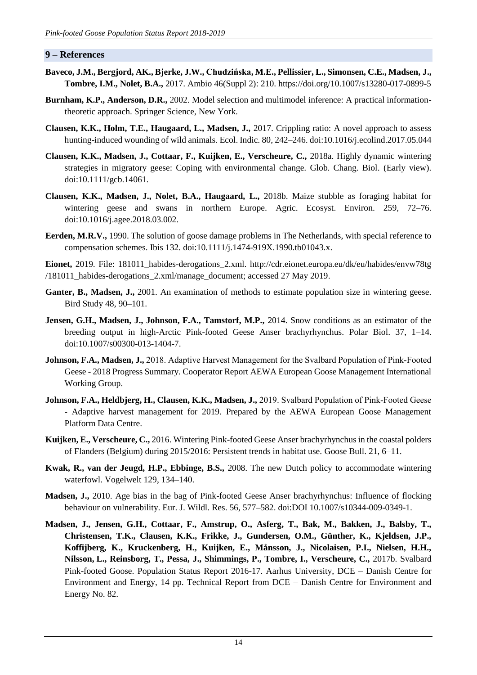#### **9 – References**

- **Baveco, J.M., Bergjord, AK., Bjerke, J.W., Chudzińska, M.E., Pellissier, L., Simonsen, C.E., Madsen, J., Tombre, I.M., Nolet, B.A.,** 2017. Ambio 46(Suppl 2): 210. https://doi.org/10.1007/s13280-017-0899-5
- **Burnham, K.P., Anderson, D.R.,** 2002. Model selection and multimodel inference: A practical informationtheoretic approach. Springer Science, New York.
- **Clausen, K.K., Holm, T.E., Haugaard, L., Madsen, J.,** 2017. Crippling ratio: A novel approach to assess hunting-induced wounding of wild animals. Ecol. Indic. 80, 242–246. doi:10.1016/j.ecolind.2017.05.044
- **Clausen, K.K., Madsen, J., Cottaar, F., Kuijken, E., Verscheure, C.,** 2018a. Highly dynamic wintering strategies in migratory geese: Coping with environmental change. Glob. Chang. Biol. (Early view). doi:10.1111/gcb.14061.
- **Clausen, K.K., Madsen, J., Nolet, B.A., Haugaard, L.,** 2018b. Maize stubble as foraging habitat for wintering geese and swans in northern Europe. Agric. Ecosyst. Environ. 259, 72–76. doi:10.1016/j.agee.2018.03.002.
- **Eerden, M.R.V.,** 1990. The solution of goose damage problems in The Netherlands, with special reference to compensation schemes. Ibis 132. doi:10.1111/j.1474-919X.1990.tb01043.x.

**Eionet,** 2019. File: 181011\_habides-derogations\_2.xml. http://cdr.eionet.europa.eu/dk/eu/habides/envw78tg /181011\_habides-derogations\_2.xml/manage\_document; accessed 27 May 2019.

- Ganter, B., Madsen, J., 2001. An examination of methods to estimate population size in wintering geese. Bird Study 48, 90–101.
- **Jensen, G.H., Madsen, J., Johnson, F.A., Tamstorf, M.P.,** 2014. Snow conditions as an estimator of the breeding output in high-Arctic Pink-footed Geese Anser brachyrhynchus. Polar Biol. 37, 1–14. doi:10.1007/s00300-013-1404-7.
- **Johnson, F.A., Madsen, J.,** 2018. Adaptive Harvest Management for the Svalbard Population of Pink‐Footed Geese - 2018 Progress Summary. Cooperator Report AEWA European Goose Management International Working Group.
- **Johnson, F.A., Heldbjerg, H., Clausen, K.K., Madsen, J.,** 2019. Svalbard Population of Pink‐Footed Geese - Adaptive harvest management for 2019. Prepared by the AEWA European Goose Management Platform Data Centre.
- **Kuijken, E., Verscheure, C.,** 2016. Wintering Pink-footed Geese Anser brachyrhynchus in the coastal polders of Flanders (Belgium) during 2015/2016: Persistent trends in habitat use. Goose Bull. 21, 6–11.
- **Kwak, R., van der Jeugd, H.P., Ebbinge, B.S.,** 2008. The new Dutch policy to accommodate wintering waterfowl. Vogelwelt 129, 134–140.
- **Madsen, J.,** 2010. Age bias in the bag of Pink-footed Geese Anser brachyrhynchus: Influence of flocking behaviour on vulnerability. Eur. J. Wildl. Res. 56, 577–582. doi:DOI 10.1007/s10344-009-0349-1.
- **Madsen, J., Jensen, G.H., Cottaar, F., Amstrup, O., Asferg, T., Bak, M., Bakken, J., Balsby, T., Christensen, T.K., Clausen, K.K., Frikke, J., Gundersen, O.M., Günther, K., Kjeldsen, J.P., Koffijberg, K., Kruckenberg, H., Kuijken, E., Månsson, J., Nicolaisen, P.I., Nielsen, H.H., Nilsson, L., Reinsborg, T., Pessa, J., Shimmings, P., Tombre, I., Verscheure, C.,** 2017b. Svalbard Pink-footed Goose. Population Status Report 2016-17. Aarhus University, DCE – Danish Centre for Environment and Energy, 14 pp. Technical Report from DCE – Danish Centre for Environment and Energy No. 82.